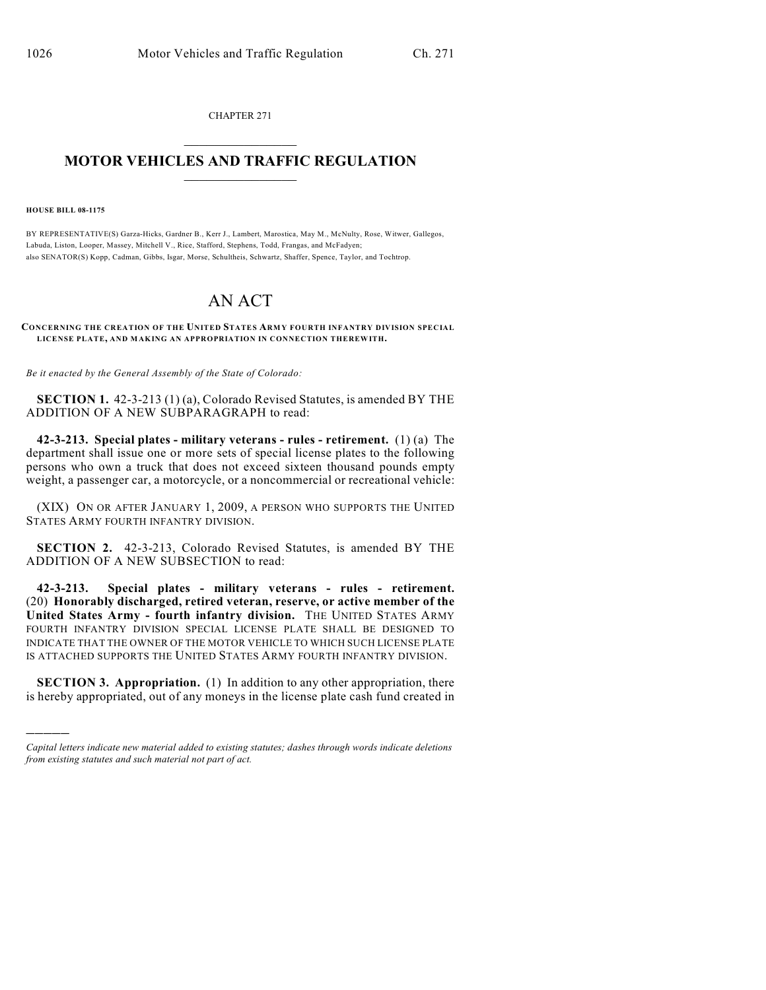CHAPTER 271  $\mathcal{L}_\text{max}$  . The set of the set of the set of the set of the set of the set of the set of the set of the set of the set of the set of the set of the set of the set of the set of the set of the set of the set of the set

## **MOTOR VEHICLES AND TRAFFIC REGULATION**  $\frac{1}{2}$  ,  $\frac{1}{2}$  ,  $\frac{1}{2}$  ,  $\frac{1}{2}$  ,  $\frac{1}{2}$  ,  $\frac{1}{2}$  ,  $\frac{1}{2}$  ,  $\frac{1}{2}$

**HOUSE BILL 08-1175**

)))))

BY REPRESENTATIVE(S) Garza-Hicks, Gardner B., Kerr J., Lambert, Marostica, May M., McNulty, Rose, Witwer, Gallegos, Labuda, Liston, Looper, Massey, Mitchell V., Rice, Stafford, Stephens, Todd, Frangas, and McFadyen; also SENATOR(S) Kopp, Cadman, Gibbs, Isgar, Morse, Schultheis, Schwartz, Shaffer, Spence, Taylor, and Tochtrop.

## AN ACT

**CONCERNING THE CREATION OF THE UNITED STATES ARMY FOURTH INFANTRY DIVISION SPECIAL LICENSE PLATE, AND MAKING AN APPROPRIATION IN CONNECTION THEREWITH.**

*Be it enacted by the General Assembly of the State of Colorado:*

**SECTION 1.** 42-3-213 (1) (a), Colorado Revised Statutes, is amended BY THE ADDITION OF A NEW SUBPARAGRAPH to read:

**42-3-213. Special plates - military veterans - rules - retirement.** (1) (a) The department shall issue one or more sets of special license plates to the following persons who own a truck that does not exceed sixteen thousand pounds empty weight, a passenger car, a motorcycle, or a noncommercial or recreational vehicle:

(XIX) ON OR AFTER JANUARY 1, 2009, A PERSON WHO SUPPORTS THE UNITED STATES ARMY FOURTH INFANTRY DIVISION.

**SECTION 2.** 42-3-213, Colorado Revised Statutes, is amended BY THE ADDITION OF A NEW SUBSECTION to read:

**42-3-213. Special plates - military veterans - rules - retirement.** (20) **Honorably discharged, retired veteran, reserve, or active member of the United States Army - fourth infantry division.** THE UNITED STATES ARMY FOURTH INFANTRY DIVISION SPECIAL LICENSE PLATE SHALL BE DESIGNED TO INDICATE THAT THE OWNER OF THE MOTOR VEHICLE TO WHICH SUCH LICENSE PLATE IS ATTACHED SUPPORTS THE UNITED STATES ARMY FOURTH INFANTRY DIVISION.

**SECTION 3. Appropriation.** (1) In addition to any other appropriation, there is hereby appropriated, out of any moneys in the license plate cash fund created in

*Capital letters indicate new material added to existing statutes; dashes through words indicate deletions from existing statutes and such material not part of act.*